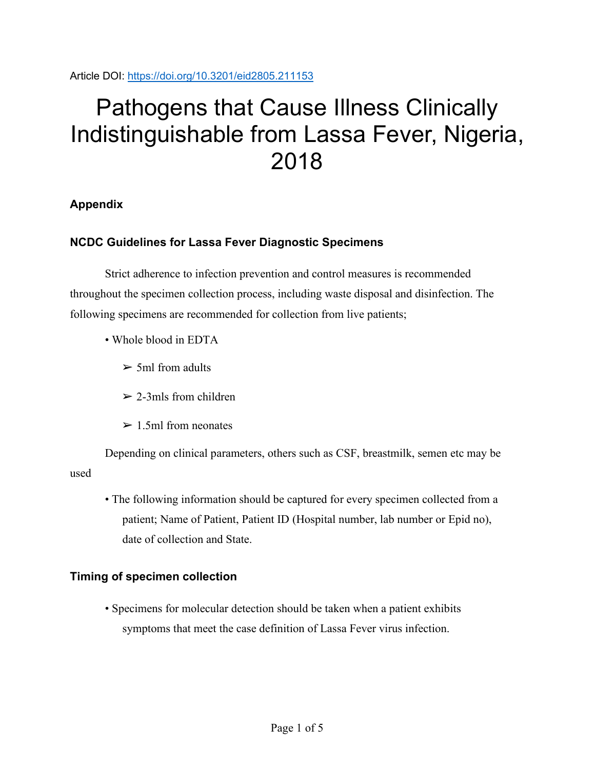Article DOI:<https://doi.org/10.3201/eid2805.211153>

# Pathogens that Cause Illness Clinically Indistinguishable from Lassa Fever, Nigeria, 2018

## **Appendix**

## **NCDC Guidelines for Lassa Fever Diagnostic Specimens**

Strict adherence to infection prevention and control measures is recommended throughout the specimen collection process, including waste disposal and disinfection. The following specimens are recommended for collection from live patients;

- Whole blood in EDTA
	- $\geq 5$ ml from adults
	- $\geq$  2-3mls from children
	- $\geq 1.5$ ml from neonates

Depending on clinical parameters, others such as CSF, breastmilk, semen etc may be used

• The following information should be captured for every specimen collected from a patient; Name of Patient, Patient ID (Hospital number, lab number or Epid no), date of collection and State.

#### **Timing of specimen collection**

• Specimens for molecular detection should be taken when a patient exhibits symptoms that meet the case definition of Lassa Fever virus infection.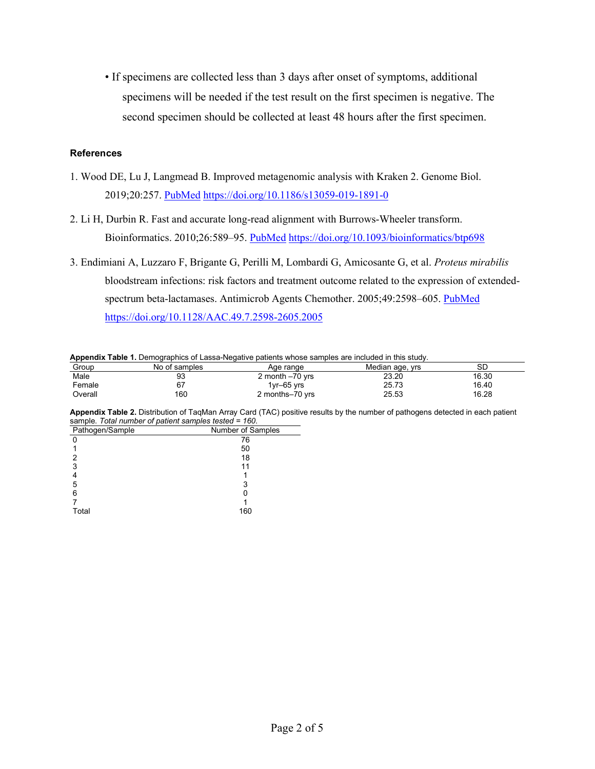• If specimens are collected less than 3 days after onset of symptoms, additional specimens will be needed if the test result on the first specimen is negative. The second specimen should be collected at least 48 hours after the first specimen.

#### **References**

- 1. Wood DE, Lu J, Langmead B. Improved metagenomic analysis with Kraken 2. Genome Biol. 2019;20:257. [PubMed](https://www.ncbi.nlm.nih.gov/entrez/query.fcgi?cmd=Retrieve&db=PubMed&list_uids=31779668&dopt=Abstract) <https://doi.org/10.1186/s13059-019-1891-0>
- 2. Li H, Durbin R. Fast and accurate long-read alignment with Burrows-Wheeler transform. Bioinformatics. 2010;26:589–95. [PubMed](https://www.ncbi.nlm.nih.gov/entrez/query.fcgi?cmd=Retrieve&db=PubMed&list_uids=20080505&dopt=Abstract) <https://doi.org/10.1093/bioinformatics/btp698>
- 3. Endimiani A, Luzzaro F, Brigante G, Perilli M, Lombardi G, Amicosante G, et al. *Proteus mirabilis* bloodstream infections: risk factors and treatment outcome related to the expression of extended-spectrum beta-lactamases. Antimicrob Agents Chemother. 2005;49:2598-605. [PubMed](https://www.ncbi.nlm.nih.gov/entrez/query.fcgi?cmd=Retrieve&db=PubMed&list_uids=15980325&dopt=Abstract) <https://doi.org/10.1128/AAC.49.7.2598-2605.2005>

**Appendix Table 1.** Demographics of Lassa-Negative patients whose samples are included in this study.

| Group   | No of samples | Age range        | Median age, yrs | en<br>⊃∟ |
|---------|---------------|------------------|-----------------|----------|
| Male    | 93            | 2 month -70 yrs  | 23.20           | 16.30    |
| Female  | ~-            | $1$ vr $-65$ vrs | 25.73           | 16.40    |
| Overall | 160           | 2 months-70 yrs  | 25.53           | 16.28    |

**Appendix Table 2.** Distribution of TaqMan Array Card (TAC) positive results by the number of pathogens detected in each patient sample. *Total number of patient samples tested = 160*.

| Pathogen/Sample | Number of Samples |  |
|-----------------|-------------------|--|
| n               | 76                |  |
|                 | 50                |  |
|                 | 18                |  |
| 3               | 11                |  |
|                 |                   |  |
| 5               | 3                 |  |
| 6               |                   |  |
|                 |                   |  |
| Total           | 160               |  |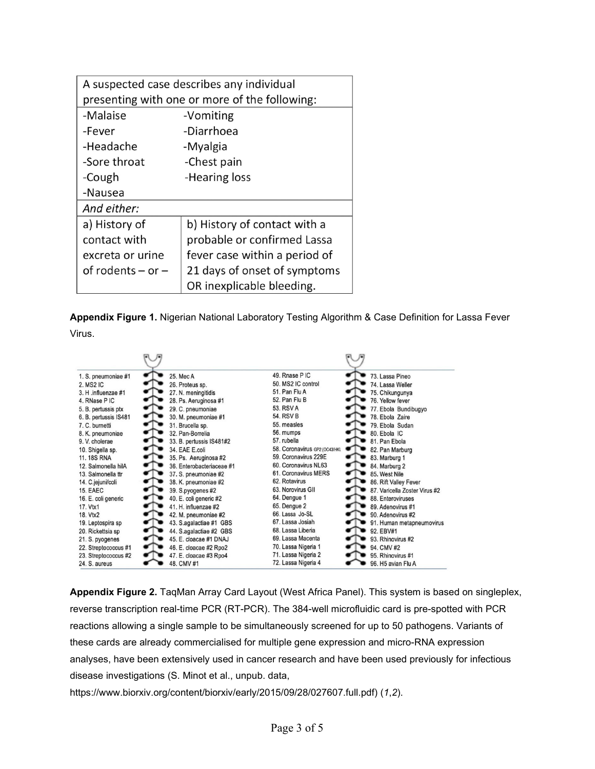| A suspected case describes any individual     |                               |  |  |  |  |  |
|-----------------------------------------------|-------------------------------|--|--|--|--|--|
| presenting with one or more of the following: |                               |  |  |  |  |  |
| -Malaise                                      | -Vomiting                     |  |  |  |  |  |
| -Fever                                        | -Diarrhoea                    |  |  |  |  |  |
| -Headache                                     | -Myalgia                      |  |  |  |  |  |
| -Sore throat                                  | -Chest pain                   |  |  |  |  |  |
| -Cough                                        | -Hearing loss                 |  |  |  |  |  |
| -Nausea                                       |                               |  |  |  |  |  |
| And either:                                   |                               |  |  |  |  |  |
| a) History of                                 | b) History of contact with a  |  |  |  |  |  |
| contact with                                  | probable or confirmed Lassa   |  |  |  |  |  |
| excreta or urine                              | fever case within a period of |  |  |  |  |  |
| of rodents $-$ or $-$                         | 21 days of onset of symptoms  |  |  |  |  |  |
|                                               | OR inexplicable bleeding.     |  |  |  |  |  |

**Appendix Figure 1.** Nigerian National Laboratory Testing Algorithm & Case Definition for Lassa Fever Virus.

| 1. S. pneumoniae #1   | 25. Mec A                 | 49. Rnase PIC                 | 73. Lassa Pineo               |
|-----------------------|---------------------------|-------------------------------|-------------------------------|
| 2. MS2 IC             | 26. Proteus sp.           | 50. MS2 IC control            | 74. Lassa Weller              |
| 3. H .influenzae #1   | 27. N. meningitidis       | 51. Pan Flu A                 | 75. Chikungunya               |
| 4. RNase PIC          | 28. Ps. Aeruginosa #1     | 52. Pan Flu B                 | 76. Yellow fever              |
| 5. B. pertussis ptx   | 29. C. pneumoniae         | 53, RSV A                     | 77. Ebola Bundibugyo          |
| 6. B. pertussis IS481 | 30. M. pneumoniae #1      | 54. RSV B                     | 78. Ebola Zaire               |
| 7. C. burnetti        | 31. Brucella sp.          | 55. measles                   | 79. Ebola Sudan               |
| 8. K. pneumoniae      | 32. Pan-Borrelia          | 56. mumps                     | 80. Ebola IC                  |
| 9. V. cholerae        | 33. B. pertussis IS481#2  | 57. rubella                   | 81. Pan Ebola                 |
| 10. Shigella sp.      | 34. EAE E.coli            | 58. Coronavirus GP2 (OC43/HKL | 82. Pan Marburg               |
| <b>11.18S RNA</b>     | 35. Ps. Aeruginosa #2     | 59. Coronavirus 229E          | 83. Marburg 1                 |
| 12. Salmonella hilA   | 36. Enterobacteriaceae #1 | 60. Coronavirus NL63          | 84. Marburg 2                 |
| 13. Salmonella ttr    | 37. S. pneumoniae #2      | 61. Coronavirus MERS          | 85. West Nile                 |
| 14. C.jejuni/coli     | 38. K. pneumoniae #2      | 62. Rotavirus                 | 86. Rift Valley Fever         |
| <b>15. EAEC</b>       | 39. S.pyogenes #2         | 63. Norovirus GII             | 87. Varicella Zoster Virus #2 |
| 16. E. coli generic   | 40. E. coli generic #2    | 64. Dengue 1                  | 88. Enteroviruses             |
| 17. Vtx1              | 41. H. influenzae #2      | 65. Dengue 2                  | 89. Adenovirus #1             |
| 18. Vtx2              | 42. M. pneumoniae #2      | 66 Lassa Jo-SL                | 90. Adenovirus #2             |
| 19. Leptospira sp     | 43. S.agalactiae #1 GBS   | 67. Lassa Josiah              | 91. Human metapneumovirus     |
| 20. Rickettsia sp     | 44. S.agalactiae #2 GBS   | 68. Lassa Liberia             | 92. EBV#1                     |
| 21. S. pyogenes       | 45. E. cloacae #1 DNAJ    | 69. Lassa Macenta             | 93. Rhinovirus #2             |
| 22. Streptococcus #1  | 46. E. cloacae #2 Rpo2    | 70. Lassa Nigeria 1           | 94. CMV #2                    |
| 23. Streptococcus #2  | 47. E. cloacae #3 Rpo4    | 71. Lassa Nigeria 2           | 95. Rhinovirus #1             |
| 24. S. aureus         | 48. CMV #1                | 72. Lassa Nigeria 4           | 96. H5 avian Flu A            |

**Appendix Figure 2.** TaqMan Array Card Layout (West Africa Panel). This system is based on singleplex, reverse transcription real-time PCR (RT-PCR). The 384-well microfluidic card is pre-spotted with PCR reactions allowing a single sample to be simultaneously screened for up to 50 pathogens. Variants of these cards are already commercialised for multiple gene expression and micro-RNA expression analyses, have been extensively used in cancer research and have been used previously for infectious disease investigations (S. Minot et al., unpub. data,

https://www.biorxiv.org/content/biorxiv/early/2015/09/28/027607.full.pdf) (*1*,*2*).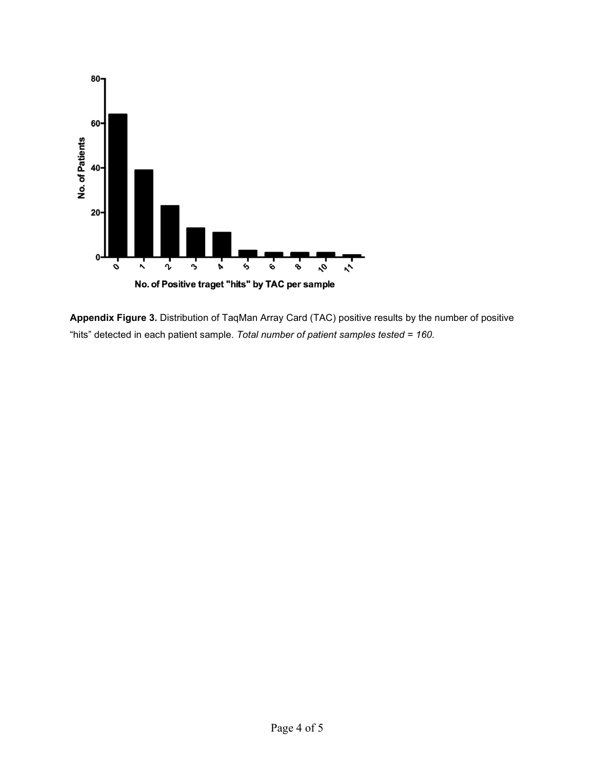

**Appendix Figure 3.** Distribution of TaqMan Array Card (TAC) positive results by the number of positive "hits" detected in each patient sample. *Total number of patient samples tested = 160*.